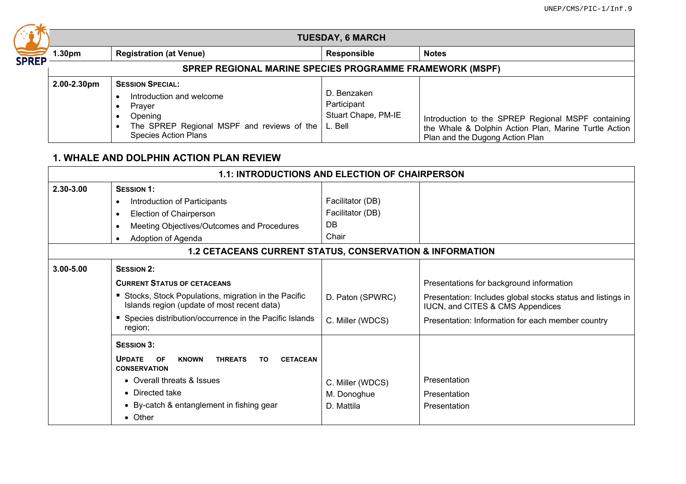|              | <b>TUESDAY, 6 MARCH</b>                                         |                                                                                                                                                                   |                                                   |                                                                                                                                                |  |  |
|--------------|-----------------------------------------------------------------|-------------------------------------------------------------------------------------------------------------------------------------------------------------------|---------------------------------------------------|------------------------------------------------------------------------------------------------------------------------------------------------|--|--|
| <b>SPREP</b> | 1.30pm                                                          | <b>Registration (at Venue)</b>                                                                                                                                    | Responsible                                       | <b>Notes</b>                                                                                                                                   |  |  |
|              | <b>SPREP REGIONAL MARINE SPECIES PROGRAMME FRAMEWORK (MSPF)</b> |                                                                                                                                                                   |                                                   |                                                                                                                                                |  |  |
|              | 2.00-2.30pm                                                     | <b>SESSION SPECIAL:</b><br>Introduction and welcome<br>Praver<br>Opening<br>The SPREP Regional MSPF and reviews of the $ L$ . Bell<br><b>Species Action Plans</b> | D. Benzaken<br>Participant<br>Stuart Chape, PM-IE | Introduction to the SPREP Regional MSPF containing<br>the Whale & Dolphin Action Plan, Marine Turtle Action<br>Plan and the Dugong Action Plan |  |  |

## **1. WHALE AND DOLPHIN ACTION PLAN REVIEW**

| <b>1.1: INTRODUCTIONS AND ELECTION OF CHAIRPERSON</b>               |                                                                                                               |                  |                                                                                                 |  |  |  |
|---------------------------------------------------------------------|---------------------------------------------------------------------------------------------------------------|------------------|-------------------------------------------------------------------------------------------------|--|--|--|
| 2.30-3.00                                                           | <b>SESSION 1:</b>                                                                                             |                  |                                                                                                 |  |  |  |
|                                                                     | Introduction of Participants                                                                                  | Facilitator (DB) |                                                                                                 |  |  |  |
|                                                                     | Election of Chairperson                                                                                       | Facilitator (DB) |                                                                                                 |  |  |  |
|                                                                     | Meeting Objectives/Outcomes and Procedures                                                                    | DB               |                                                                                                 |  |  |  |
|                                                                     | Adoption of Agenda                                                                                            | Chair            |                                                                                                 |  |  |  |
| <b>1.2 CETACEANS CURRENT STATUS, CONSERVATION &amp; INFORMATION</b> |                                                                                                               |                  |                                                                                                 |  |  |  |
| $3.00 - 5.00$                                                       | <b>SESSION 2:</b>                                                                                             |                  |                                                                                                 |  |  |  |
|                                                                     | <b>CURRENT STATUS OF CETACEANS</b>                                                                            |                  | Presentations for background information                                                        |  |  |  |
|                                                                     | Stocks, Stock Populations, migration in the Pacific<br>Islands region (update of most recent data)            | D. Paton (SPWRC) | Presentation: Includes global stocks status and listings in<br>IUCN, and CITES & CMS Appendices |  |  |  |
|                                                                     | Species distribution/occurrence in the Pacific Islands<br>region;                                             | C. Miller (WDCS) | Presentation: Information for each member country                                               |  |  |  |
|                                                                     | <b>SESSION 3:</b>                                                                                             |                  |                                                                                                 |  |  |  |
|                                                                     | <b>UPDATE</b><br><b>OF</b><br><b>KNOWN</b><br><b>THREATS</b><br><b>CETACEAN</b><br>TO.<br><b>CONSERVATION</b> |                  |                                                                                                 |  |  |  |
|                                                                     | • Overall threats & Issues                                                                                    | C. Miller (WDCS) | Presentation                                                                                    |  |  |  |
|                                                                     | • Directed take                                                                                               | M. Donoghue      | Presentation                                                                                    |  |  |  |
|                                                                     | • By-catch & entanglement in fishing gear                                                                     | D. Mattila       | Presentation                                                                                    |  |  |  |
|                                                                     | $\bullet$ Other                                                                                               |                  |                                                                                                 |  |  |  |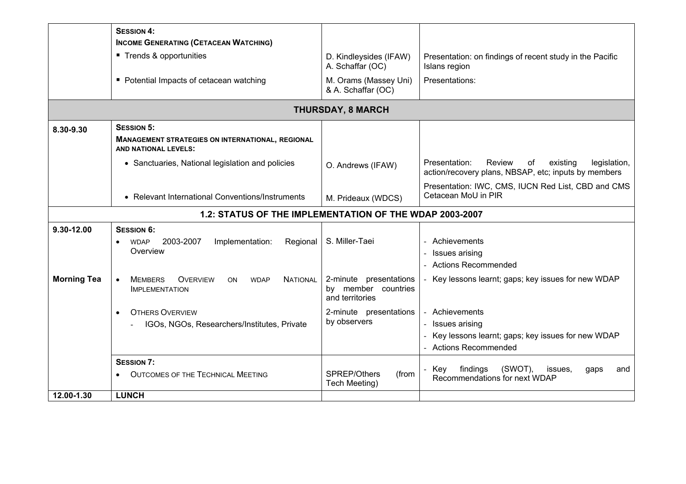|                                                         | <b>SESSION 4:</b>                                                                                         |                                                                  |                                                                                                                   |  |  |
|---------------------------------------------------------|-----------------------------------------------------------------------------------------------------------|------------------------------------------------------------------|-------------------------------------------------------------------------------------------------------------------|--|--|
|                                                         | <b>INCOME GENERATING (CETACEAN WATCHING)</b>                                                              |                                                                  |                                                                                                                   |  |  |
|                                                         | ■ Trends & opportunities                                                                                  | D. Kindleysides (IFAW)<br>A. Schaffar (OC)                       | Presentation: on findings of recent study in the Pacific<br>Islans region                                         |  |  |
|                                                         | • Potential Impacts of cetacean watching                                                                  | M. Orams (Massey Uni)<br>& A. Schaffar (OC)                      | Presentations:                                                                                                    |  |  |
|                                                         |                                                                                                           | <b>THURSDAY, 8 MARCH</b>                                         |                                                                                                                   |  |  |
| 8.30-9.30                                               | <b>SESSION 5:</b>                                                                                         |                                                                  |                                                                                                                   |  |  |
|                                                         | <b>MANAGEMENT STRATEGIES ON INTERNATIONAL, REGIONAL</b><br><b>AND NATIONAL LEVELS:</b>                    |                                                                  |                                                                                                                   |  |  |
|                                                         | • Sanctuaries, National legislation and policies                                                          | O. Andrews (IFAW)                                                | Presentation:<br>Review<br>existing<br>legislation,<br>of<br>action/recovery plans, NBSAP, etc; inputs by members |  |  |
|                                                         | • Relevant International Conventions/Instruments                                                          | M. Prideaux (WDCS)                                               | Presentation: IWC, CMS, IUCN Red List, CBD and CMS<br>Cetacean MoU in PIR                                         |  |  |
| 1.2: STATUS OF THE IMPLEMENTATION OF THE WDAP 2003-2007 |                                                                                                           |                                                                  |                                                                                                                   |  |  |
| 9.30-12.00                                              | <b>SESSION 6:</b>                                                                                         |                                                                  |                                                                                                                   |  |  |
|                                                         | Implementation:<br>Regional<br>2003-2007<br><b>WDAP</b>                                                   | S. Miller-Taei                                                   | - Achievements                                                                                                    |  |  |
|                                                         | Overview                                                                                                  |                                                                  | - Issues arising                                                                                                  |  |  |
|                                                         |                                                                                                           |                                                                  | - Actions Recommended                                                                                             |  |  |
| <b>Morning Tea</b>                                      | <b>MEMBERS</b><br><b>OVERVIEW</b><br><b>NATIONAL</b><br><b>ON</b><br><b>WDAP</b><br><b>IMPLEMENTATION</b> | 2-minute presentations<br>by member countries<br>and territories | - Key lessons learnt; gaps; key issues for new WDAP                                                               |  |  |
|                                                         | <b>OTHERS OVERVIEW</b>                                                                                    | 2-minute presentations                                           | - Achievements                                                                                                    |  |  |
|                                                         | IGOs, NGOs, Researchers/Institutes, Private                                                               | by observers                                                     | - Issues arising                                                                                                  |  |  |
|                                                         |                                                                                                           |                                                                  | Key lessons learnt; gaps; key issues for new WDAP                                                                 |  |  |
|                                                         |                                                                                                           |                                                                  | - Actions Recommended                                                                                             |  |  |
|                                                         | <b>SESSION 7:</b>                                                                                         |                                                                  |                                                                                                                   |  |  |
|                                                         | <b>OUTCOMES OF THE TECHNICAL MEETING</b>                                                                  | SPREP/Others<br>(from<br>Tech Meeting)                           | findings<br>(SWOT),<br>- Key<br>issues.<br>and<br>gaps<br>Recommendations for next WDAP                           |  |  |
| 12.00-1.30                                              | <b>LUNCH</b>                                                                                              |                                                                  |                                                                                                                   |  |  |